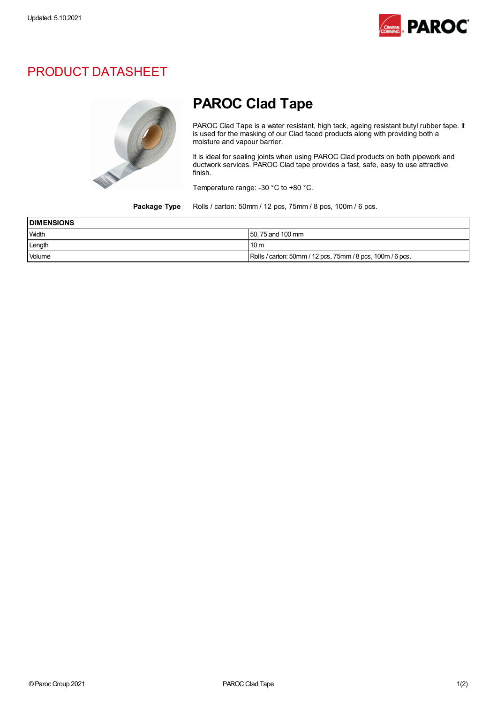

## PRODUCT DATASHEET



## PAROC Clad Tape

PAROC Clad Tape is a water resistant, high tack, ageing resistant butyl rubber tape. It is used for the masking of our Clad faced products along with providing both a moisture and vapour barrier.

It is ideal for sealing joints when using PAROC Clad products on both pipework and ductwork services. PAROC Clad tape provides a fast, safe, easy to use attractive finish.

Temperature range: -30 °C to +80 °C.

Package Type Rolls / carton: 50mm / 12 pcs, 75mm / 8 pcs, 100m / 6 pcs.

| <b>DIMENSIONS</b> |                                                            |
|-------------------|------------------------------------------------------------|
| Width             | 50, 75 and 100 mm                                          |
| Length            | 10 <sub>m</sub>                                            |
| Volume            | Rolls / carton: 50mm / 12 pcs, 75mm / 8 pcs, 100m / 6 pcs. |